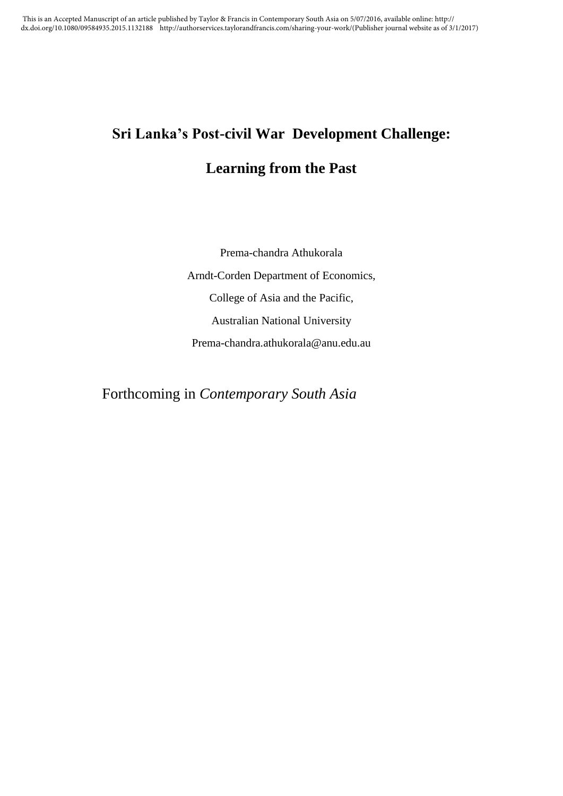# **Sri Lanka's Post-civil War Development Challenge: Learning from the Past**

Prema-chandra Athukorala [Arndt-Corden Department of Economics,](http://www.crawford.anu.edu.au/acde) College of Asia and the Pacific, Australian National University Prema-chandra.athukorala@anu.edu.au

Forthcoming in *Contemporary South Asia*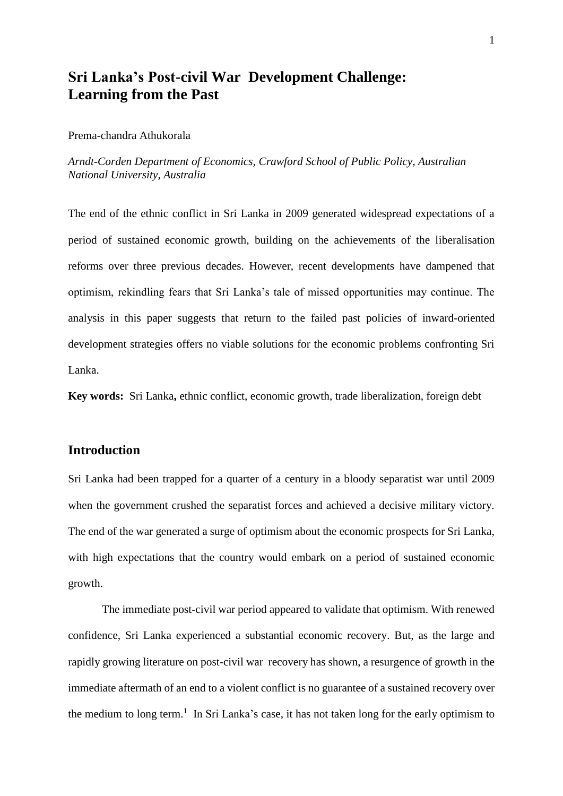## **Sri Lanka's Post-civil War Development Challenge: Learning from the Past**

#### Prema-chandra Athukorala

*Arndt-Corden Department of Economics, Crawford School of Public Policy, Australian National University, Australia*

The end of the ethnic conflict in Sri Lanka in 2009 generated widespread expectations of a period of sustained economic growth, building on the achievements of the liberalisation reforms over three previous decades. However, recent developments have dampened that optimism, rekindling fears that Sri Lanka's tale of missed opportunities may continue. The analysis in this paper suggests that return to the failed past policies of inward-oriented development strategies offers no viable solutions for the economic problems confronting Sri Lanka.

**Key words:** Sri Lanka**,** ethnic conflict, economic growth, trade liberalization, foreign debt

## **Introduction**

Sri Lanka had been trapped for a quarter of a century in a bloody separatist war until 2009 when the government crushed the separatist forces and achieved a decisive military victory. The end of the war generated a surge of optimism about the economic prospects for Sri Lanka, with high expectations that the country would embark on a period of sustained economic growth.

The immediate post-civil war period appeared to validate that optimism. With renewed confidence, Sri Lanka experienced a substantial economic recovery. But, as the large and rapidly growing literature on post-civil war recovery has shown, a resurgence of growth in the immediate aftermath of an end to a violent conflict is no guarantee of a sustained recovery over the medium to long term.<sup>1</sup> In Sri Lanka's case, it has not taken long for the early optimism to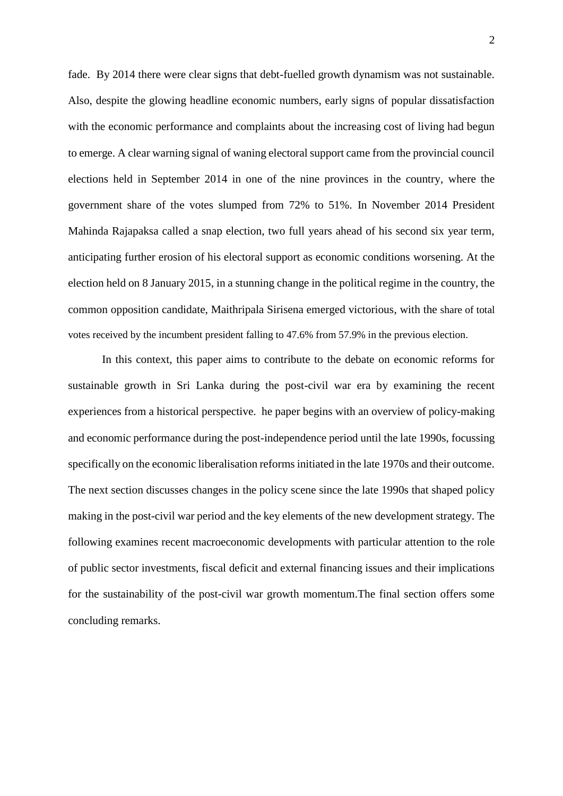fade. By 2014 there were clear signs that debt-fuelled growth dynamism was not sustainable. Also, despite the glowing headline economic numbers, early signs of popular dissatisfaction with the economic performance and complaints about the increasing cost of living had begun to emerge. A clear warning signal of waning electoral support came from the provincial council elections held in September 2014 in one of the nine provinces in the country, where the government share of the votes slumped from 72% to 51%. In November 2014 President Mahinda Rajapaksa called a snap election, two full years ahead of his second six year term, anticipating further erosion of his electoral support as economic conditions worsening. At the election held on 8 January 2015, in a stunning change in the political regime in the country, the common opposition candidate, Maithripala Sirisena emerged victorious, with the share of total votes received by the incumbent president falling to 47.6% from 57.9% in the previous election.

In this context, this paper aims to contribute to the debate on economic reforms for sustainable growth in Sri Lanka during the post-civil war era by examining the recent experiences from a historical perspective. he paper begins with an overview of policy-making and economic performance during the post-independence period until the late 1990s, focussing specifically on the economic liberalisation reforms initiated in the late 1970s and their outcome. The next section discusses changes in the policy scene since the late 1990s that shaped policy making in the post-civil war period and the key elements of the new development strategy. The following examines recent macroeconomic developments with particular attention to the role of public sector investments, fiscal deficit and external financing issues and their implications for the sustainability of the post-civil war growth momentum.The final section offers some concluding remarks.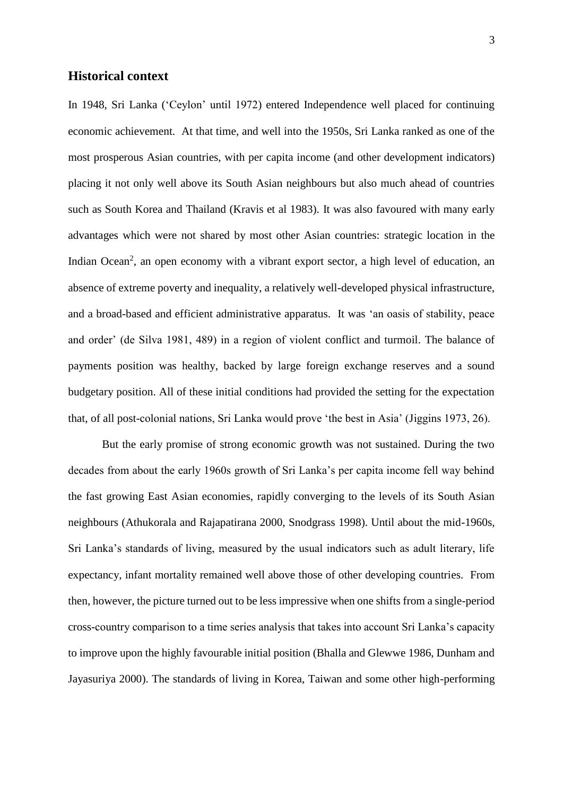## **Historical context**

In 1948, Sri Lanka ('Ceylon' until 1972) entered Independence well placed for continuing economic achievement. At that time, and well into the 1950s, Sri Lanka ranked as one of the most prosperous Asian countries, with per capita income (and other development indicators) placing it not only well above its South Asian neighbours but also much ahead of countries such as South Korea and Thailand (Kravis et al 1983). It was also favoured with many early advantages which were not shared by most other Asian countries: strategic location in the Indian Ocean<sup>2</sup>, an open economy with a vibrant export sector, a high level of education, an absence of extreme poverty and inequality, a relatively well-developed physical infrastructure, and a broad-based and efficient administrative apparatus. It was 'an oasis of stability, peace and order' (de Silva 1981, 489) in a region of violent conflict and turmoil. The balance of payments position was healthy, backed by large foreign exchange reserves and a sound budgetary position. All of these initial conditions had provided the setting for the expectation that, of all post-colonial nations, Sri Lanka would prove 'the best in Asia' (Jiggins 1973, 26).

But the early promise of strong economic growth was not sustained. During the two decades from about the early 1960s growth of Sri Lanka's per capita income fell way behind the fast growing East Asian economies, rapidly converging to the levels of its South Asian neighbours (Athukorala and Rajapatirana 2000, Snodgrass 1998). Until about the mid-1960s, Sri Lanka's standards of living, measured by the usual indicators such as adult literary, life expectancy, infant mortality remained well above those of other developing countries. From then, however, the picture turned out to be less impressive when one shifts from a single-period cross-country comparison to a time series analysis that takes into account Sri Lanka's capacity to improve upon the highly favourable initial position (Bhalla and Glewwe 1986, Dunham and Jayasuriya 2000). The standards of living in Korea, Taiwan and some other high-performing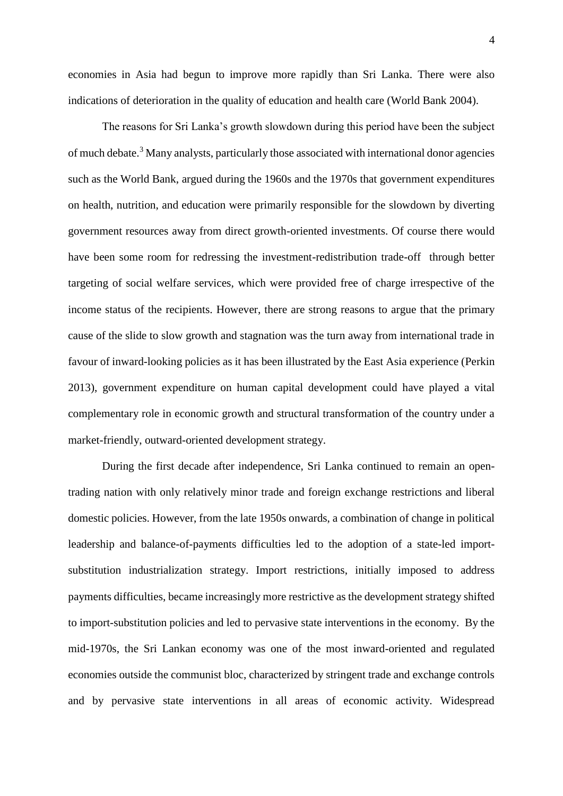economies in Asia had begun to improve more rapidly than Sri Lanka. There were also indications of deterioration in the quality of education and health care (World Bank 2004).

 The reasons for Sri Lanka's growth slowdown during this period have been the subject of much debate.<sup>3</sup> Many analysts, particularly those associated with international donor agencies such as the World Bank, argued during the 1960s and the 1970s that government expenditures on health, nutrition, and education were primarily responsible for the slowdown by diverting government resources away from direct growth-oriented investments. Of course there would have been some room for redressing the investment-redistribution trade-off through better targeting of social welfare services, which were provided free of charge irrespective of the income status of the recipients. However, there are strong reasons to argue that the primary cause of the slide to slow growth and stagnation was the turn away from international trade in favour of inward-looking policies as it has been illustrated by the East Asia experience (Perkin 2013), government expenditure on human capital development could have played a vital complementary role in economic growth and structural transformation of the country under a market-friendly, outward-oriented development strategy.

During the first decade after independence, Sri Lanka continued to remain an opentrading nation with only relatively minor trade and foreign exchange restrictions and liberal domestic policies. However, from the late 1950s onwards, a combination of change in political leadership and balance-of-payments difficulties led to the adoption of a state-led importsubstitution industrialization strategy. Import restrictions, initially imposed to address payments difficulties, became increasingly more restrictive as the development strategy shifted to import-substitution policies and led to pervasive state interventions in the economy. By the mid-1970s, the Sri Lankan economy was one of the most inward-oriented and regulated economies outside the communist bloc, characterized by stringent trade and exchange controls and by pervasive state interventions in all areas of economic activity. Widespread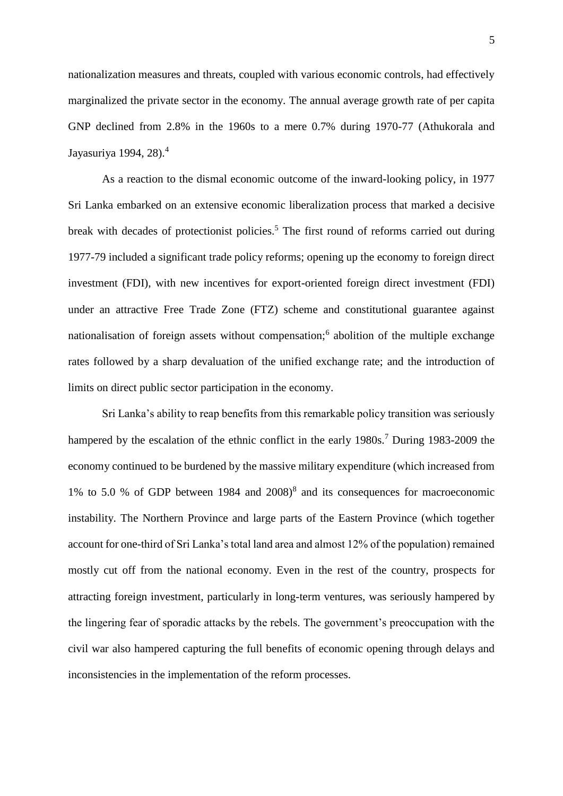5

nationalization measures and threats, coupled with various economic controls, had effectively marginalized the private sector in the economy. The annual average growth rate of per capita GNP declined from 2.8% in the 1960s to a mere 0.7% during 1970-77 (Athukorala and Jayasuriya 1994, 28).<sup>4</sup>

As a reaction to the dismal economic outcome of the inward-looking policy, in 1977 Sri Lanka embarked on an extensive economic liberalization process that marked a decisive break with decades of protectionist policies.<sup>5</sup> The first round of reforms carried out during 1977-79 included a significant trade policy reforms; opening up the economy to foreign direct investment (FDI), with new incentives for export-oriented foreign direct investment (FDI) under an attractive Free Trade Zone (FTZ) scheme and constitutional guarantee against nationalisation of foreign assets without compensation;<sup>6</sup> abolition of the multiple exchange rates followed by a sharp devaluation of the unified exchange rate; and the introduction of limits on direct public sector participation in the economy.

Sri Lanka's ability to reap benefits from this remarkable policy transition was seriously hampered by the escalation of the ethnic conflict in the early 1980s.<sup>7</sup> During 1983-2009 the economy continued to be burdened by the massive military expenditure (which increased from 1% to 5.0 % of GDP between 1984 and  $2008$ <sup>8</sup> and its consequences for macroeconomic instability. The Northern Province and large parts of the Eastern Province (which together account for one-third of Sri Lanka's total land area and almost 12% of the population) remained mostly cut off from the national economy. Even in the rest of the country, prospects for attracting foreign investment, particularly in long-term ventures, was seriously hampered by the lingering fear of sporadic attacks by the rebels. The government's preoccupation with the civil war also hampered capturing the full benefits of economic opening through delays and inconsistencies in the implementation of the reform processes.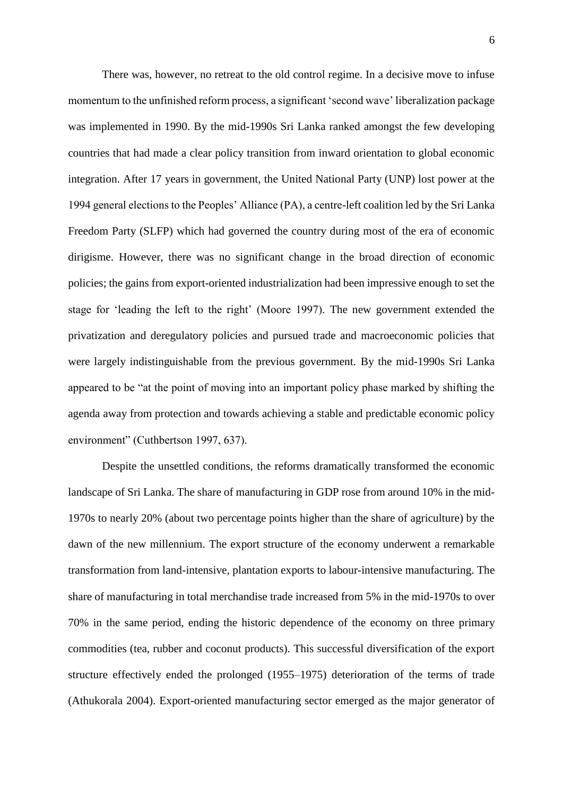There was, however, no retreat to the old control regime. In a decisive move to infuse momentum to the unfinished reform process, a significant 'second wave' liberalization package was implemented in 1990. By the mid-1990s Sri Lanka ranked amongst the few developing countries that had made a clear policy transition from inward orientation to global economic integration. After 17 years in government, the United National Party (UNP) lost power at the 1994 general elections to the Peoples' Alliance (PA), a centre-left coalition led by the Sri Lanka Freedom Party (SLFP) which had governed the country during most of the era of economic dirigisme. However, there was no significant change in the broad direction of economic policies; the gains from export-oriented industrialization had been impressive enough to set the stage for 'leading the left to the right' (Moore 1997). The new government extended the privatization and deregulatory policies and pursued trade and macroeconomic policies that were largely indistinguishable from the previous government. By the mid-1990s Sri Lanka appeared to be "at the point of moving into an important policy phase marked by shifting the agenda away from protection and towards achieving a stable and predictable economic policy environment" (Cuthbertson 1997, 637).

Despite the unsettled conditions, the reforms dramatically transformed the economic landscape of Sri Lanka. The share of manufacturing in GDP rose from around 10% in the mid-1970s to nearly 20% (about two percentage points higher than the share of agriculture) by the dawn of the new millennium. The export structure of the economy underwent a remarkable transformation from land-intensive, plantation exports to labour-intensive manufacturing. The share of manufacturing in total merchandise trade increased from 5% in the mid-1970s to over 70% in the same period, ending the historic dependence of the economy on three primary commodities (tea, rubber and coconut products). This successful diversification of the export structure effectively ended the prolonged (1955–1975) deterioration of the terms of trade (Athukorala 2004). Export-oriented manufacturing sector emerged as the major generator of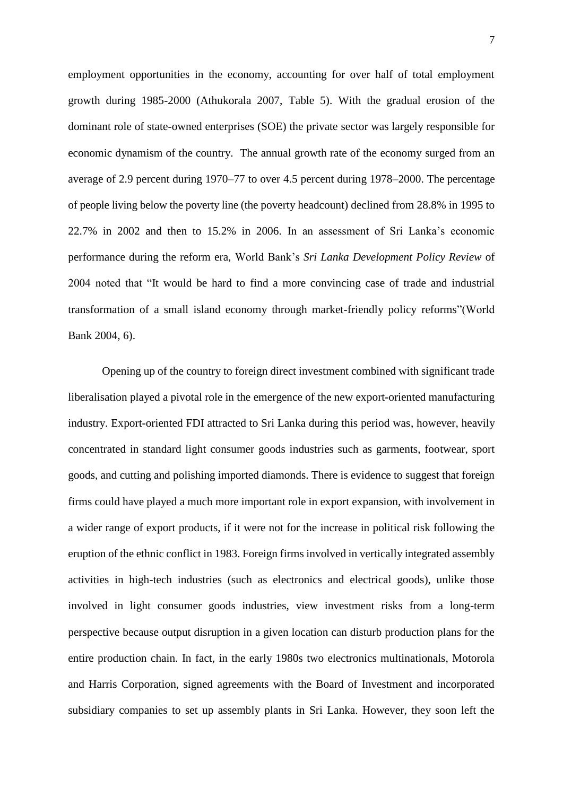employment opportunities in the economy, accounting for over half of total employment growth during 1985-2000 (Athukorala 2007, Table 5). With the gradual erosion of the dominant role of state-owned enterprises (SOE) the private sector was largely responsible for economic dynamism of the country. The annual growth rate of the economy surged from an average of 2.9 percent during 1970–77 to over 4.5 percent during 1978–2000. The percentage of people living below the poverty line (the poverty headcount) declined from 28.8% in 1995 to 22.7% in 2002 and then to 15.2% in 2006. In an assessment of Sri Lanka's economic performance during the reform era, World Bank's *Sri Lanka Development Policy Review* of 2004 noted that "It would be hard to find a more convincing case of trade and industrial transformation of a small island economy through market-friendly policy reforms"(World Bank 2004, 6).

Opening up of the country to foreign direct investment combined with significant trade liberalisation played a pivotal role in the emergence of the new export-oriented manufacturing industry. Export-oriented FDI attracted to Sri Lanka during this period was, however, heavily concentrated in standard light consumer goods industries such as garments, footwear, sport goods, and cutting and polishing imported diamonds. There is evidence to suggest that foreign firms could have played a much more important role in export expansion, with involvement in a wider range of export products, if it were not for the increase in political risk following the eruption of the ethnic conflict in 1983. Foreign firms involved in vertically integrated assembly activities in high-tech industries (such as electronics and electrical goods), unlike those involved in light consumer goods industries, view investment risks from a long-term perspective because output disruption in a given location can disturb production plans for the entire production chain. In fact, in the early 1980s two electronics multinationals, Motorola and Harris Corporation, signed agreements with the Board of Investment and incorporated subsidiary companies to set up assembly plants in Sri Lanka. However, they soon left the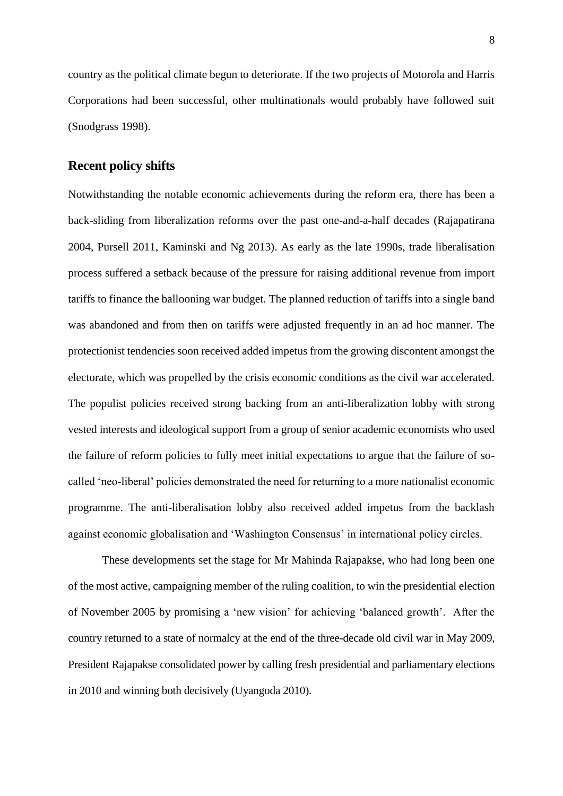country as the political climate begun to deteriorate. If the two projects of Motorola and Harris Corporations had been successful, other multinationals would probably have followed suit (Snodgrass 1998).

## **Recent policy shifts**

Notwithstanding the notable economic achievements during the reform era, there has been a back-sliding from liberalization reforms over the past one-and-a-half decades (Rajapatirana 2004, Pursell 2011, Kaminski and Ng 2013). As early as the late 1990s, trade liberalisation process suffered a setback because of the pressure for raising additional revenue from import tariffs to finance the ballooning war budget. The planned reduction of tariffs into a single band was abandoned and from then on tariffs were adjusted frequently in an ad hoc manner. The protectionist tendencies soon received added impetus from the growing discontent amongst the electorate, which was propelled by the crisis economic conditions as the civil war accelerated. The populist policies received strong backing from an anti-liberalization lobby with strong vested interests and ideological support from a group of senior academic economists who used the failure of reform policies to fully meet initial expectations to argue that the failure of socalled 'neo-liberal' policies demonstrated the need for returning to a more nationalist economic programme. The anti-liberalisation lobby also received added impetus from the backlash against economic globalisation and 'Washington Consensus' in international policy circles.

These developments set the stage for Mr Mahinda Rajapakse, who had long been one of the most active, campaigning member of the ruling coalition, to win the presidential election of November 2005 by promising a 'new vision' for achieving 'balanced growth'. After the country returned to a state of normalcy at the end of the three-decade old civil war in May 2009, President Rajapakse consolidated power by calling fresh presidential and parliamentary elections in 2010 and winning both decisively (Uyangoda 2010).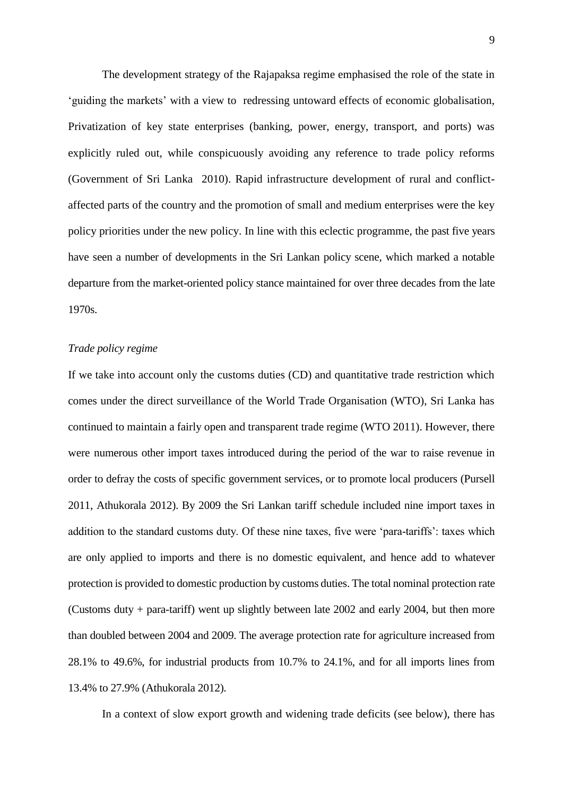The development strategy of the Rajapaksa regime emphasised the role of the state in 'guiding the markets' with a view to redressing untoward effects of economic globalisation, Privatization of key state enterprises (banking, power, energy, transport, and ports) was explicitly ruled out, while conspicuously avoiding any reference to trade policy reforms (Government of Sri Lanka 2010). Rapid infrastructure development of rural and conflictaffected parts of the country and the promotion of small and medium enterprises were the key policy priorities under the new policy. In line with this eclectic programme, the past five years have seen a number of developments in the Sri Lankan policy scene, which marked a notable departure from the market-oriented policy stance maintained for over three decades from the late 1970s.

## *Trade policy regime*

If we take into account only the customs duties (CD) and quantitative trade restriction which comes under the direct surveillance of the World Trade Organisation (WTO), Sri Lanka has continued to maintain a fairly open and transparent trade regime (WTO 2011). However, there were numerous other import taxes introduced during the period of the war to raise revenue in order to defray the costs of specific government services, or to promote local producers (Pursell 2011, Athukorala 2012). By 2009 the Sri Lankan tariff schedule included nine import taxes in addition to the standard customs duty. Of these nine taxes, five were 'para-tariffs': taxes which are only applied to imports and there is no domestic equivalent, and hence add to whatever protection is provided to domestic production by customs duties. The total nominal protection rate (Customs duty + para-tariff) went up slightly between late 2002 and early 2004, but then more than doubled between 2004 and 2009. The average protection rate for agriculture increased from 28.1% to 49.6%, for industrial products from 10.7% to 24.1%, and for all imports lines from 13.4% to 27.9% (Athukorala 2012).

In a context of slow export growth and widening trade deficits (see below), there has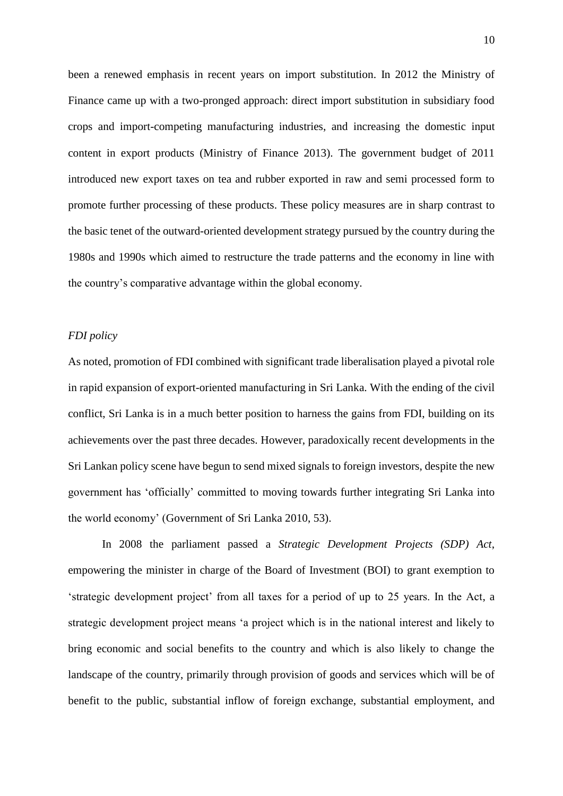been a renewed emphasis in recent years on import substitution. In 2012 the Ministry of Finance came up with a two-pronged approach: direct import substitution in subsidiary food crops and import-competing manufacturing industries, and increasing the domestic input content in export products (Ministry of Finance 2013). The government budget of 2011 introduced new export taxes on tea and rubber exported in raw and semi processed form to promote further processing of these products. These policy measures are in sharp contrast to the basic tenet of the outward-oriented development strategy pursued by the country during the 1980s and 1990s which aimed to restructure the trade patterns and the economy in line with the country's comparative advantage within the global economy.

## *FDI policy*

As noted, promotion of FDI combined with significant trade liberalisation played a pivotal role in rapid expansion of export-oriented manufacturing in Sri Lanka. With the ending of the civil conflict, Sri Lanka is in a much better position to harness the gains from FDI, building on its achievements over the past three decades. However, paradoxically recent developments in the Sri Lankan policy scene have begun to send mixed signals to foreign investors, despite the new government has 'officially' committed to moving towards further integrating Sri Lanka into the world economy' (Government of Sri Lanka 2010, 53).

In 2008 the parliament passed a *Strategic Development Projects (SDP) Act*, empowering the minister in charge of the Board of Investment (BOI) to grant exemption to 'strategic development project' from all taxes for a period of up to 25 years. In the Act, a strategic development project means 'a project which is in the national interest and likely to bring economic and social benefits to the country and which is also likely to change the landscape of the country, primarily through provision of goods and services which will be of benefit to the public, substantial inflow of foreign exchange, substantial employment, and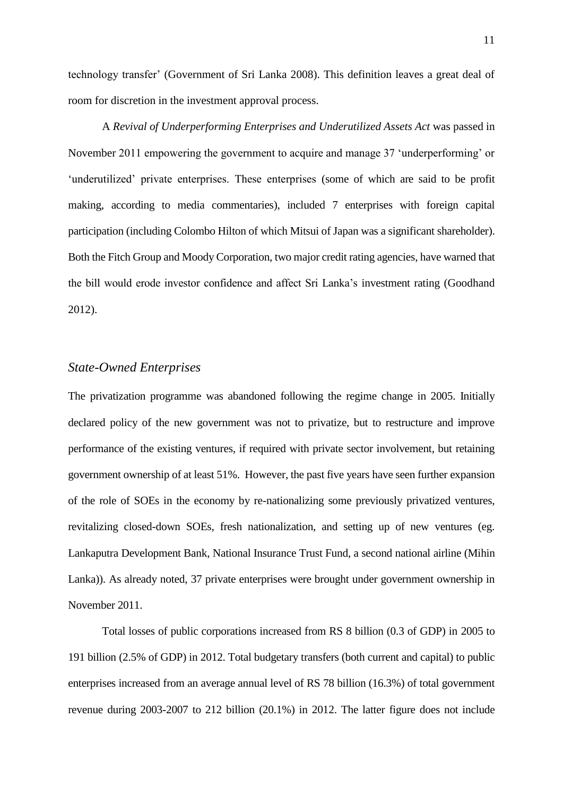technology transfer' (Government of Sri Lanka 2008). This definition leaves a great deal of room for discretion in the investment approval process.

A *Revival of Underperforming Enterprises and Underutilized Assets Act* was passed in November 2011 empowering the government to acquire and manage 37 'underperforming' or 'underutilized' private enterprises. These enterprises (some of which are said to be profit making, according to media commentaries), included 7 enterprises with foreign capital participation (including Colombo Hilton of which Mitsui of Japan was a significant shareholder). Both the Fitch Group and Moody Corporation, two major credit rating agencies, have warned that the bill would erode investor confidence and affect Sri Lanka's investment rating (Goodhand 2012).

## *State-Owned Enterprises*

The privatization programme was abandoned following the regime change in 2005. Initially declared policy of the new government was not to privatize, but to restructure and improve performance of the existing ventures, if required with private sector involvement, but retaining government ownership of at least 51%. However, the past five years have seen further expansion of the role of SOEs in the economy by re-nationalizing some previously privatized ventures, revitalizing closed-down SOEs, fresh nationalization, and setting up of new ventures (eg. Lankaputra Development Bank, National Insurance Trust Fund, a second national airline (Mihin Lanka)). As already noted, 37 private enterprises were brought under government ownership in November 2011.

Total losses of public corporations increased from RS 8 billion (0.3 of GDP) in 2005 to 191 billion (2.5% of GDP) in 2012. Total budgetary transfers (both current and capital) to public enterprises increased from an average annual level of RS 78 billion (16.3%) of total government revenue during 2003-2007 to 212 billion (20.1%) in 2012. The latter figure does not include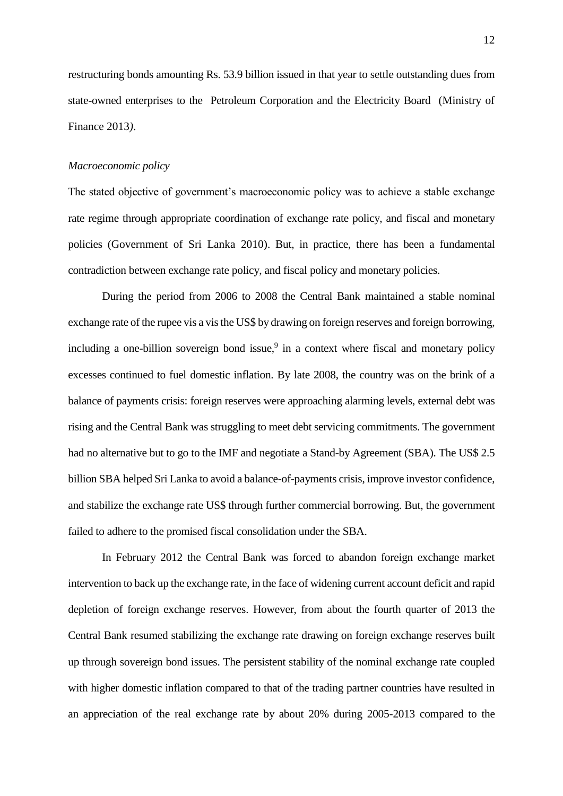restructuring bonds amounting Rs. 53.9 billion issued in that year to settle outstanding dues from state-owned enterprises to the Petroleum Corporation and the Electricity Board (Ministry of Finance 2013*)*.

#### *Macroeconomic policy*

The stated objective of government's macroeconomic policy was to achieve a stable exchange rate regime through appropriate coordination of exchange rate policy, and fiscal and monetary policies (Government of Sri Lanka 2010). But, in practice, there has been a fundamental contradiction between exchange rate policy, and fiscal policy and monetary policies.

During the period from 2006 to 2008 the Central Bank maintained a stable nominal exchange rate of the rupee vis a vis the US\$ by drawing on foreign reserves and foreign borrowing, including a one-billion sovereign bond issue, $9$  in a context where fiscal and monetary policy excesses continued to fuel domestic inflation. By late 2008, the country was on the brink of a balance of payments crisis: foreign reserves were approaching alarming levels, external debt was rising and the Central Bank was struggling to meet debt servicing commitments. The government had no alternative but to go to the IMF and negotiate a Stand-by Agreement (SBA). The US\$ 2.5 billion SBA helped Sri Lanka to avoid a balance-of-payments crisis, improve investor confidence, and stabilize the exchange rate US\$ through further commercial borrowing. But, the government failed to adhere to the promised fiscal consolidation under the SBA.

In February 2012 the Central Bank was forced to abandon foreign exchange market intervention to back up the exchange rate, in the face of widening current account deficit and rapid depletion of foreign exchange reserves. However, from about the fourth quarter of 2013 the Central Bank resumed stabilizing the exchange rate drawing on foreign exchange reserves built up through sovereign bond issues. The persistent stability of the nominal exchange rate coupled with higher domestic inflation compared to that of the trading partner countries have resulted in an appreciation of the real exchange rate by about 20% during 2005-2013 compared to the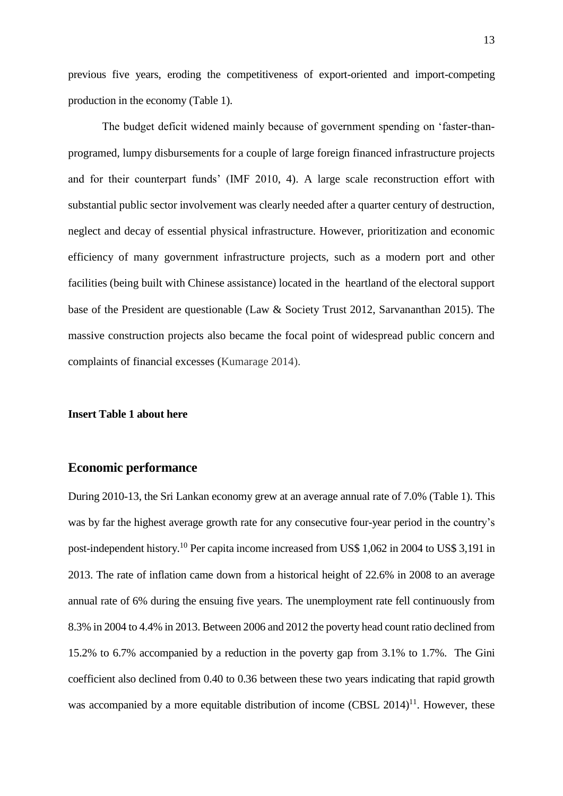previous five years, eroding the competitiveness of export-oriented and import-competing production in the economy (Table 1).

The budget deficit widened mainly because of government spending on 'faster-thanprogramed, lumpy disbursements for a couple of large foreign financed infrastructure projects and for their counterpart funds' (IMF 2010, 4). A large scale reconstruction effort with substantial public sector involvement was clearly needed after a quarter century of destruction, neglect and decay of essential physical infrastructure. However, prioritization and economic efficiency of many government infrastructure projects, such as a modern port and other facilities (being built with Chinese assistance) located in the heartland of the electoral support base of the President are questionable (Law & Society Trust 2012, Sarvananthan 2015). The massive construction projects also became the focal point of widespread public concern and complaints of financial excesses (Kumarage 2014).

#### **Insert Table 1 about here**

## **Economic performance**

During 2010-13, the Sri Lankan economy grew at an average annual rate of 7.0% (Table 1). This was by far the highest average growth rate for any consecutive four-year period in the country's post-independent history.<sup>10</sup> Per capita income increased from US\$ 1,062 in 2004 to US\$ 3,191 in 2013. The rate of inflation came down from a historical height of 22.6% in 2008 to an average annual rate of 6% during the ensuing five years. The unemployment rate fell continuously from 8.3% in 2004 to 4.4% in 2013. Between 2006 and 2012 the poverty head count ratio declined from 15.2% to 6.7% accompanied by a reduction in the poverty gap from 3.1% to 1.7%. The Gini coefficient also declined from 0.40 to 0.36 between these two years indicating that rapid growth was accompanied by a more equitable distribution of income  $(CBSL 2014)^{11}$ . However, these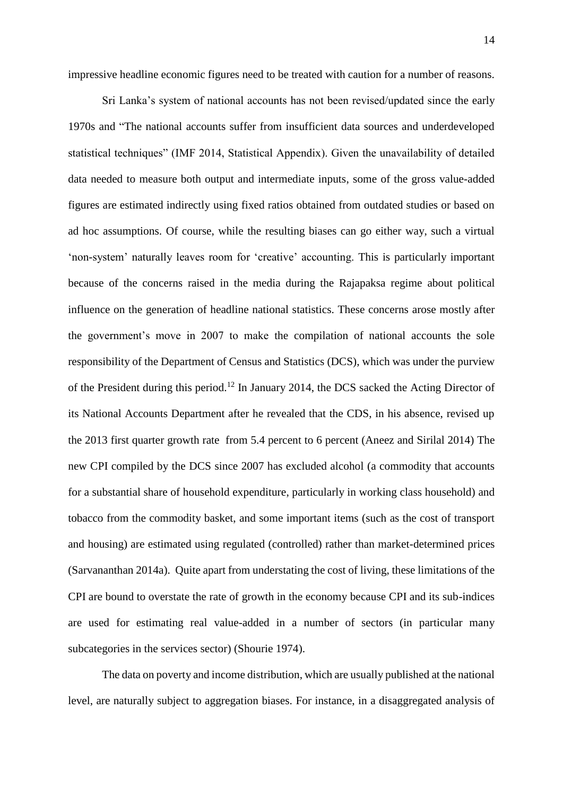impressive headline economic figures need to be treated with caution for a number of reasons.

Sri Lanka's system of national accounts has not been revised/updated since the early 1970s and "The national accounts suffer from insufficient data sources and underdeveloped statistical techniques" (IMF 2014, Statistical Appendix). Given the unavailability of detailed data needed to measure both output and intermediate inputs, some of the gross value-added figures are estimated indirectly using fixed ratios obtained from outdated studies or based on ad hoc assumptions. Of course, while the resulting biases can go either way, such a virtual 'non-system' naturally leaves room for 'creative' accounting. This is particularly important because of the concerns raised in the media during the Rajapaksa regime about political influence on the generation of headline national statistics. These concerns arose mostly after the government's move in 2007 to make the compilation of national accounts the sole responsibility of the Department of Census and Statistics (DCS), which was under the purview of the President during this period.<sup>12</sup> In January 2014, the DCS sacked the Acting Director of its National Accounts Department after he revealed that the CDS, in his absence, revised up the 2013 first quarter growth rate from 5.4 percent to 6 percent (Aneez and Sirilal 2014) The new CPI compiled by the DCS since 2007 has excluded alcohol (a commodity that accounts for a substantial share of household expenditure, particularly in working class household) and tobacco from the commodity basket, and some important items (such as the cost of transport and housing) are estimated using regulated (controlled) rather than market-determined prices (Sarvananthan 2014a). Quite apart from understating the cost of living, these limitations of the CPI are bound to overstate the rate of growth in the economy because CPI and its sub-indices are used for estimating real value-added in a number of sectors (in particular many subcategories in the services sector) (Shourie 1974).

The data on poverty and income distribution, which are usually published at the national level, are naturally subject to aggregation biases. For instance, in a disaggregated analysis of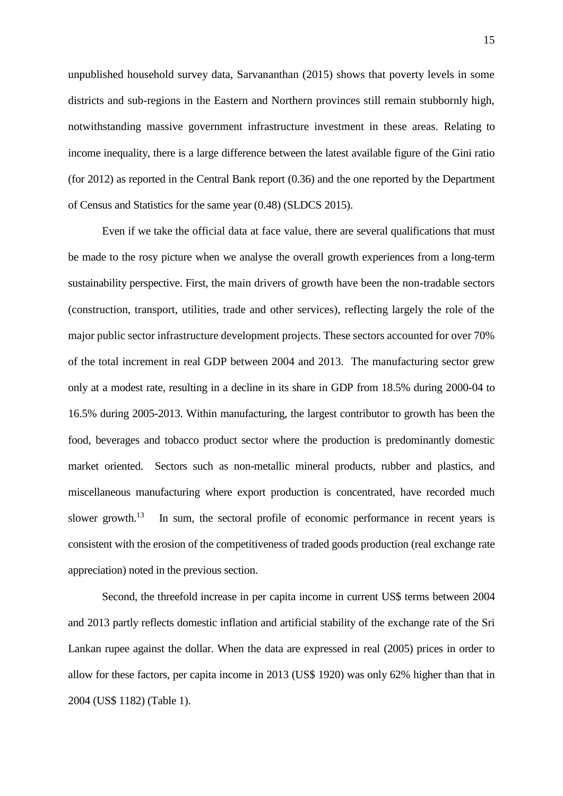unpublished household survey data, Sarvananthan (2015) shows that poverty levels in some districts and sub-regions in the Eastern and Northern provinces still remain stubbornly high, notwithstanding massive government infrastructure investment in these areas. Relating to income inequality, there is a large difference between the latest available figure of the Gini ratio (for 2012) as reported in the Central Bank report (0.36) and the one reported by the Department of Census and Statistics for the same year (0.48) (SLDCS 2015).

Even if we take the official data at face value, there are several qualifications that must be made to the rosy picture when we analyse the overall growth experiences from a long-term sustainability perspective. First, the main drivers of growth have been the non-tradable sectors (construction, transport, utilities, trade and other services), reflecting largely the role of the major public sector infrastructure development projects. These sectors accounted for over 70% of the total increment in real GDP between 2004 and 2013. The manufacturing sector grew only at a modest rate, resulting in a decline in its share in GDP from 18.5% during 2000-04 to 16.5% during 2005-2013. Within manufacturing, the largest contributor to growth has been the food, beverages and tobacco product sector where the production is predominantly domestic market oriented. Sectors such as non-metallic mineral products, rubber and plastics, and miscellaneous manufacturing where export production is concentrated, have recorded much slower growth.<sup>13</sup> In sum, the sectoral profile of economic performance in recent years is consistent with the erosion of the competitiveness of traded goods production (real exchange rate appreciation) noted in the previous section.

Second, the threefold increase in per capita income in current US\$ terms between 2004 and 2013 partly reflects domestic inflation and artificial stability of the exchange rate of the Sri Lankan rupee against the dollar. When the data are expressed in real (2005) prices in order to allow for these factors, per capita income in 2013 (US\$ 1920) was only 62% higher than that in 2004 (US\$ 1182) (Table 1).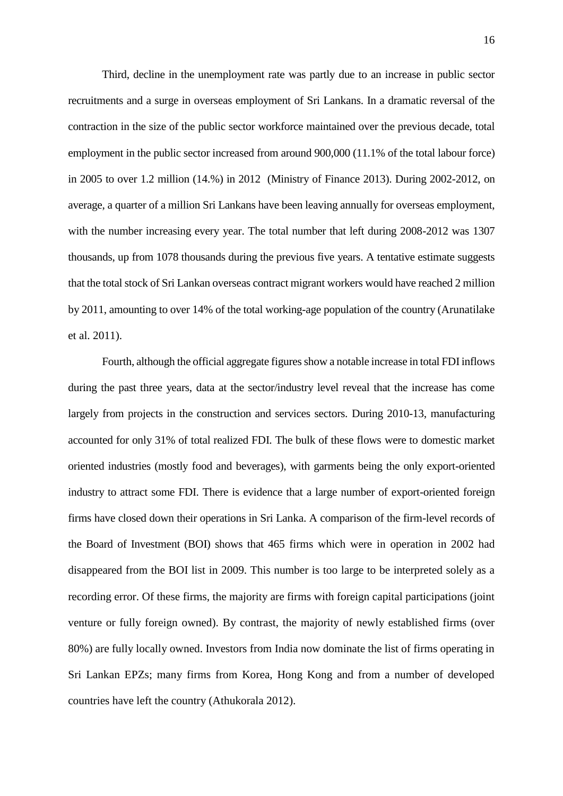Third, decline in the unemployment rate was partly due to an increase in public sector recruitments and a surge in overseas employment of Sri Lankans. In a dramatic reversal of the contraction in the size of the public sector workforce maintained over the previous decade, total employment in the public sector increased from around 900,000 (11.1% of the total labour force) in 2005 to over 1.2 million (14.%) in 2012 (Ministry of Finance 2013). During 2002-2012, on average, a quarter of a million Sri Lankans have been leaving annually for overseas employment, with the number increasing every year. The total number that left during 2008-2012 was 1307 thousands, up from 1078 thousands during the previous five years. A tentative estimate suggests that the total stock of Sri Lankan overseas contract migrant workers would have reached 2 million by 2011, amounting to over 14% of the total working-age population of the country (Arunatilake et al. 2011).

Fourth, although the official aggregate figures show a notable increase in total FDI inflows during the past three years, data at the sector/industry level reveal that the increase has come largely from projects in the construction and services sectors. During 2010-13, manufacturing accounted for only 31% of total realized FDI. The bulk of these flows were to domestic market oriented industries (mostly food and beverages), with garments being the only export-oriented industry to attract some FDI. There is evidence that a large number of export-oriented foreign firms have closed down their operations in Sri Lanka. A comparison of the firm-level records of the Board of Investment (BOI) shows that 465 firms which were in operation in 2002 had disappeared from the BOI list in 2009. This number is too large to be interpreted solely as a recording error. Of these firms, the majority are firms with foreign capital participations (joint venture or fully foreign owned). By contrast, the majority of newly established firms (over 80%) are fully locally owned. Investors from India now dominate the list of firms operating in Sri Lankan EPZs; many firms from Korea, Hong Kong and from a number of developed countries have left the country (Athukorala 2012).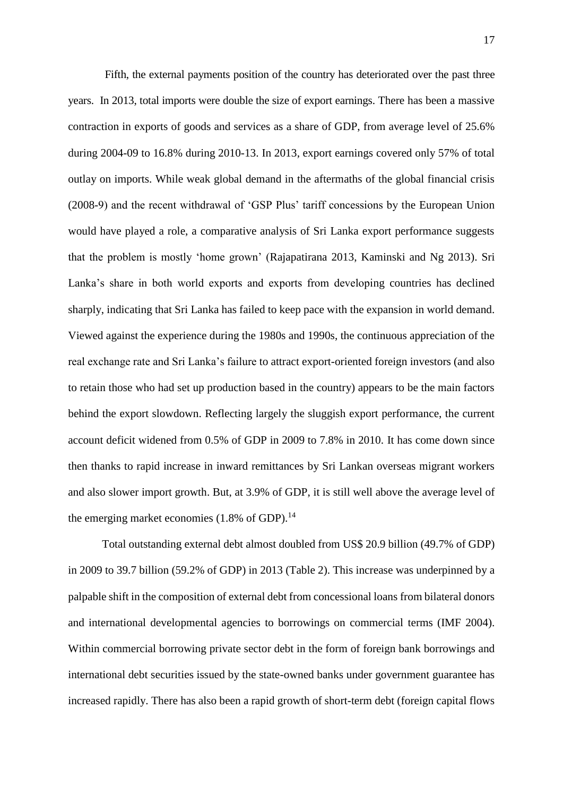Fifth, the external payments position of the country has deteriorated over the past three years. In 2013, total imports were double the size of export earnings. There has been a massive contraction in exports of goods and services as a share of GDP, from average level of 25.6% during 2004-09 to 16.8% during 2010-13. In 2013, export earnings covered only 57% of total outlay on imports. While weak global demand in the aftermaths of the global financial crisis (2008-9) and the recent withdrawal of 'GSP Plus' tariff concessions by the European Union would have played a role, a comparative analysis of Sri Lanka export performance suggests that the problem is mostly 'home grown' (Rajapatirana 2013, Kaminski and Ng 2013). Sri Lanka's share in both world exports and exports from developing countries has declined sharply, indicating that Sri Lanka has failed to keep pace with the expansion in world demand. Viewed against the experience during the 1980s and 1990s, the continuous appreciation of the real exchange rate and Sri Lanka's failure to attract export-oriented foreign investors (and also to retain those who had set up production based in the country) appears to be the main factors behind the export slowdown. Reflecting largely the sluggish export performance, the current account deficit widened from 0.5% of GDP in 2009 to 7.8% in 2010. It has come down since then thanks to rapid increase in inward remittances by Sri Lankan overseas migrant workers and also slower import growth. But, at 3.9% of GDP, it is still well above the average level of the emerging market economies (1.8% of GDP).<sup>14</sup>

Total outstanding external debt almost doubled from US\$ 20.9 billion (49.7% of GDP) in 2009 to 39.7 billion (59.2% of GDP) in 2013 (Table 2). This increase was underpinned by a palpable shift in the composition of external debt from concessional loans from bilateral donors and international developmental agencies to borrowings on commercial terms (IMF 2004). Within commercial borrowing private sector debt in the form of foreign bank borrowings and international debt securities issued by the state-owned banks under government guarantee has increased rapidly. There has also been a rapid growth of short-term debt (foreign capital flows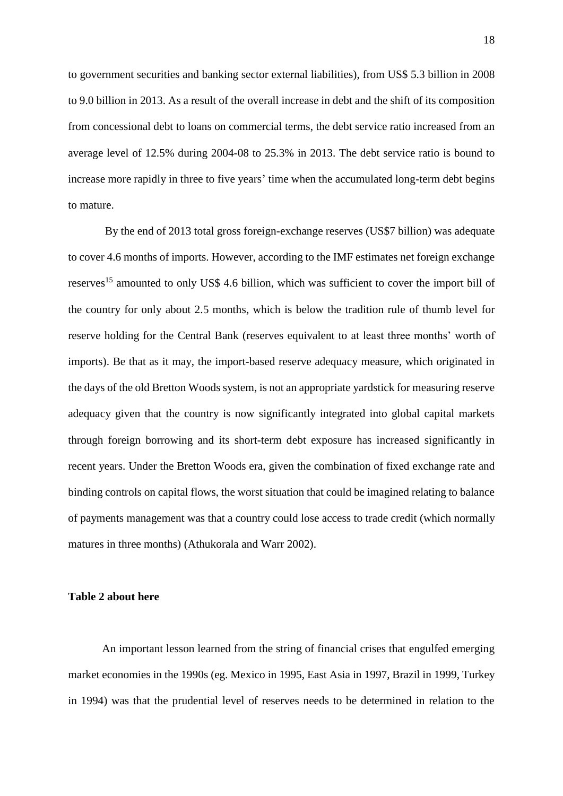to government securities and banking sector external liabilities), from US\$ 5.3 billion in 2008 to 9.0 billion in 2013. As a result of the overall increase in debt and the shift of its composition from concessional debt to loans on commercial terms, the debt service ratio increased from an average level of 12.5% during 2004-08 to 25.3% in 2013. The debt service ratio is bound to increase more rapidly in three to five years' time when the accumulated long-term debt begins to mature.

By the end of 2013 total gross foreign-exchange reserves (US\$7 billion) was adequate to cover 4.6 months of imports. However, according to the IMF estimates net foreign exchange reserves<sup>15</sup> amounted to only US\$ 4.6 billion, which was sufficient to cover the import bill of the country for only about 2.5 months, which is below the tradition rule of thumb level for reserve holding for the Central Bank (reserves equivalent to at least three months' worth of imports). Be that as it may, the import-based reserve adequacy measure, which originated in the days of the old Bretton Woods system, is not an appropriate yardstick for measuring reserve adequacy given that the country is now significantly integrated into global capital markets through foreign borrowing and its short-term debt exposure has increased significantly in recent years. Under the Bretton Woods era, given the combination of fixed exchange rate and binding controls on capital flows, the worst situation that could be imagined relating to balance of payments management was that a country could lose access to trade credit (which normally matures in three months) (Athukorala and Warr 2002).

#### **Table 2 about here**

An important lesson learned from the string of financial crises that engulfed emerging market economies in the 1990s (eg. Mexico in 1995, East Asia in 1997, Brazil in 1999, Turkey in 1994) was that the prudential level of reserves needs to be determined in relation to the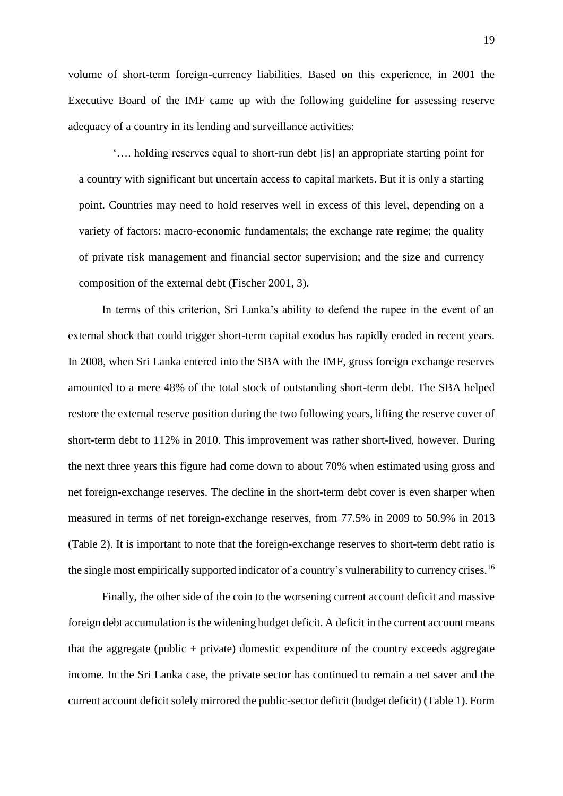volume of short-term foreign-currency liabilities. Based on this experience, in 2001 the Executive Board of the IMF came up with the following guideline for assessing reserve adequacy of a country in its lending and surveillance activities:

'…. holding reserves equal to short-run debt [is] an appropriate starting point for a country with significant but uncertain access to capital markets. But it is only a starting point. Countries may need to hold reserves well in excess of this level, depending on a variety of factors: macro-economic fundamentals; the exchange rate regime; the quality of private risk management and financial sector supervision; and the size and currency composition of the external debt (Fischer 2001, 3).

In terms of this criterion, Sri Lanka's ability to defend the rupee in the event of an external shock that could trigger short-term capital exodus has rapidly eroded in recent years. In 2008, when Sri Lanka entered into the SBA with the IMF, gross foreign exchange reserves amounted to a mere 48% of the total stock of outstanding short-term debt. The SBA helped restore the external reserve position during the two following years, lifting the reserve cover of short-term debt to 112% in 2010. This improvement was rather short-lived, however. During the next three years this figure had come down to about 70% when estimated using gross and net foreign-exchange reserves. The decline in the short-term debt cover is even sharper when measured in terms of net foreign-exchange reserves, from 77.5% in 2009 to 50.9% in 2013 (Table 2). It is important to note that the foreign-exchange reserves to short-term debt ratio is the single most empirically supported indicator of a country's vulnerability to currency crises.<sup>16</sup>

Finally, the other side of the coin to the worsening current account deficit and massive foreign debt accumulation is the widening budget deficit. A deficit in the current account means that the aggregate (public  $+$  private) domestic expenditure of the country exceeds aggregate income. In the Sri Lanka case, the private sector has continued to remain a net saver and the current account deficit solely mirrored the public-sector deficit (budget deficit) (Table 1). Form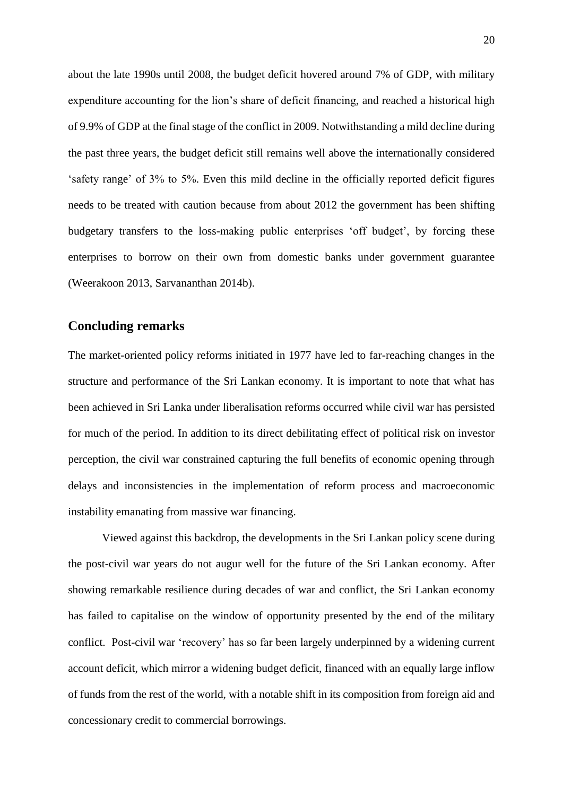about the late 1990s until 2008, the budget deficit hovered around 7% of GDP, with military expenditure accounting for the lion's share of deficit financing, and reached a historical high of 9.9% of GDP at the final stage of the conflict in 2009. Notwithstanding a mild decline during the past three years, the budget deficit still remains well above the internationally considered 'safety range' of 3% to 5%. Even this mild decline in the officially reported deficit figures needs to be treated with caution because from about 2012 the government has been shifting budgetary transfers to the loss-making public enterprises 'off budget', by forcing these enterprises to borrow on their own from domestic banks under government guarantee (Weerakoon 2013, Sarvananthan 2014b).

## **Concluding remarks**

The market-oriented policy reforms initiated in 1977 have led to far-reaching changes in the structure and performance of the Sri Lankan economy. It is important to note that what has been achieved in Sri Lanka under liberalisation reforms occurred while civil war has persisted for much of the period. In addition to its direct debilitating effect of political risk on investor perception, the civil war constrained capturing the full benefits of economic opening through delays and inconsistencies in the implementation of reform process and macroeconomic instability emanating from massive war financing.

Viewed against this backdrop, the developments in the Sri Lankan policy scene during the post-civil war years do not augur well for the future of the Sri Lankan economy. After showing remarkable resilience during decades of war and conflict, the Sri Lankan economy has failed to capitalise on the window of opportunity presented by the end of the military conflict. Post-civil war 'recovery' has so far been largely underpinned by a widening current account deficit, which mirror a widening budget deficit, financed with an equally large inflow of funds from the rest of the world, with a notable shift in its composition from foreign aid and concessionary credit to commercial borrowings.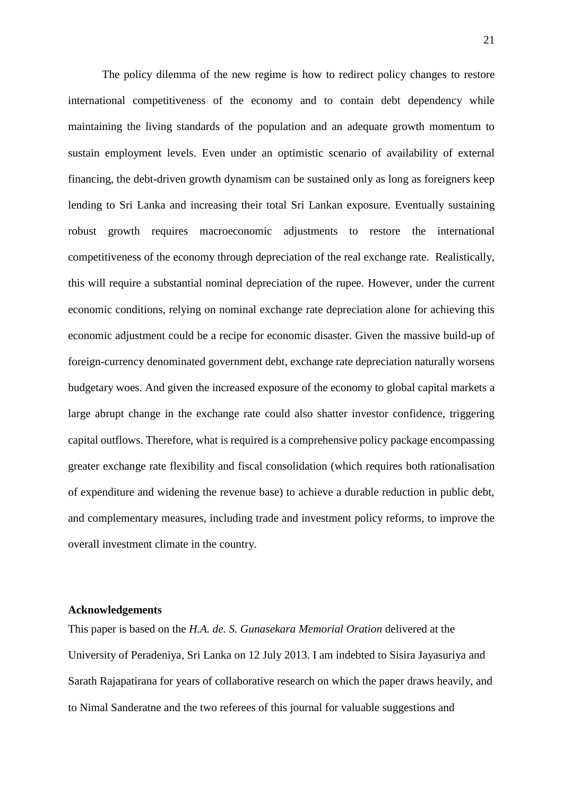The policy dilemma of the new regime is how to redirect policy changes to restore international competitiveness of the economy and to contain debt dependency while maintaining the living standards of the population and an adequate growth momentum to sustain employment levels. Even under an optimistic scenario of availability of external financing, the debt-driven growth dynamism can be sustained only as long as foreigners keep lending to Sri Lanka and increasing their total Sri Lankan exposure. Eventually sustaining robust growth requires macroeconomic adjustments to restore the international competitiveness of the economy through depreciation of the real exchange rate. Realistically, this will require a substantial nominal depreciation of the rupee. However, under the current economic conditions, relying on nominal exchange rate depreciation alone for achieving this economic adjustment could be a recipe for economic disaster. Given the massive build-up of foreign-currency denominated government debt, exchange rate depreciation naturally worsens budgetary woes. And given the increased exposure of the economy to global capital markets a large abrupt change in the exchange rate could also shatter investor confidence, triggering capital outflows. Therefore, what is required is a comprehensive policy package encompassing greater exchange rate flexibility and fiscal consolidation (which requires both rationalisation of expenditure and widening the revenue base) to achieve a durable reduction in public debt, and complementary measures, including trade and investment policy reforms, to improve the overall investment climate in the country.

#### **Acknowledgements**

This paper is based on the *H.A. de. S. Gunasekara Memorial Oration* delivered at the University of Peradeniya, Sri Lanka on 12 July 2013. I am indebted to Sisira Jayasuriya and Sarath Rajapatirana for years of collaborative research on which the paper draws heavily, and to Nimal Sanderatne and the two referees of this journal for valuable suggestions and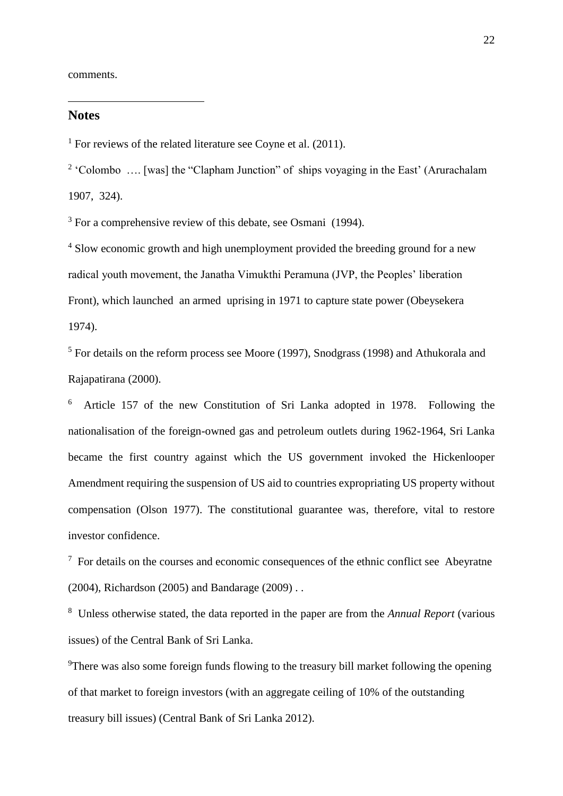comments.

## **Notes**

1

<sup>1</sup> For reviews of the related literature see Coyne et al.  $(2011)$ .

<sup>2</sup> 'Colombo .... [was] the "Clapham Junction" of ships voyaging in the East' (Arurachalam 1907, 324).

<sup>3</sup> For a comprehensive review of this debate, see Osmani (1994).

<sup>4</sup> Slow economic growth and high unemployment provided the breeding ground for a new radical youth movement, the Janatha Vimukthi Peramuna (JVP, the Peoples' liberation Front), which launched an armed uprising in 1971 to capture state power (Obeysekera 1974).

<sup>5</sup> For details on the reform process see Moore (1997), Snodgrass (1998) and Athukorala and Rajapatirana (2000).

<sup>6</sup> Article 157 of the new Constitution of Sri Lanka adopted in 1978. Following the nationalisation of the foreign-owned gas and petroleum outlets during 1962-1964, Sri Lanka became the first country against which the US government invoked the Hickenlooper Amendment requiring the suspension of US aid to countries expropriating US property without compensation (Olson 1977). The constitutional guarantee was, therefore, vital to restore investor confidence.

 $7$  For details on the courses and economic consequences of the ethnic conflict see Abeyratne (2004), Richardson (2005) and Bandarage (2009) . .

8 Unless otherwise stated, the data reported in the paper are from the *Annual Report* (various issues) of the Central Bank of Sri Lanka.

<sup>9</sup>There was also some foreign funds flowing to the treasury bill market following the opening of that market to foreign investors (with an aggregate ceiling of 10% of the outstanding treasury bill issues) (Central Bank of Sri Lanka 2012).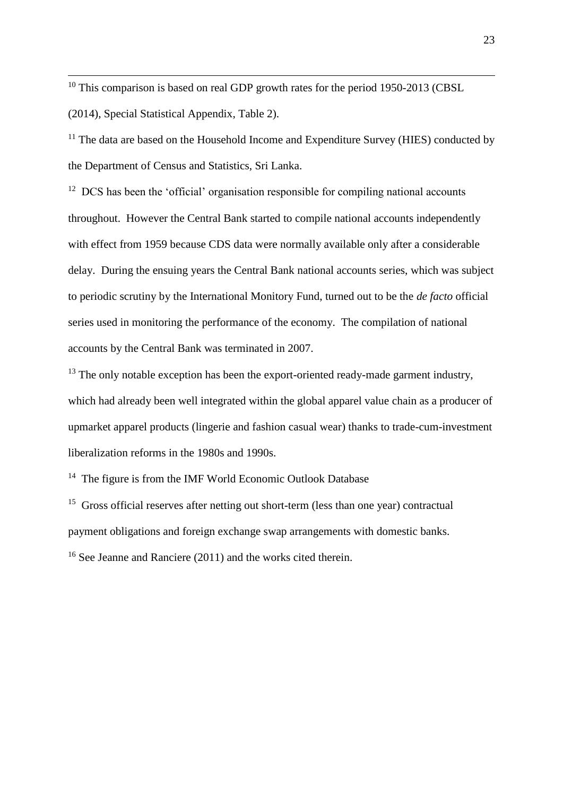<sup>10</sup> This comparison is based on real GDP growth rates for the period 1950-2013 (CBSL (2014), Special Statistical Appendix, Table 2).

<u>.</u>

<sup>11</sup> The data are based on the Household Income and Expenditure Survey (HIES) conducted by the Department of Census and Statistics, Sri Lanka.

<sup>12</sup> DCS has been the 'official' organisation responsible for compiling national accounts throughout. However the Central Bank started to compile national accounts independently with effect from 1959 because CDS data were normally available only after a considerable delay. During the ensuing years the Central Bank national accounts series, which was subject to periodic scrutiny by the International Monitory Fund, turned out to be the *de facto* official series used in monitoring the performance of the economy. The compilation of national accounts by the Central Bank was terminated in 2007.

 $13$  The only notable exception has been the export-oriented ready-made garment industry, which had already been well integrated within the global apparel value chain as a producer of upmarket apparel products (lingerie and fashion casual wear) thanks to trade-cum-investment liberalization reforms in the 1980s and 1990s.

<sup>14</sup> The figure is from the IMF World Economic Outlook Database

<sup>15</sup> Gross official reserves after netting out short-term (less than one year) contractual payment obligations and foreign exchange swap arrangements with domestic banks.

<sup>16</sup> See Jeanne and Ranciere (2011) and the works cited therein.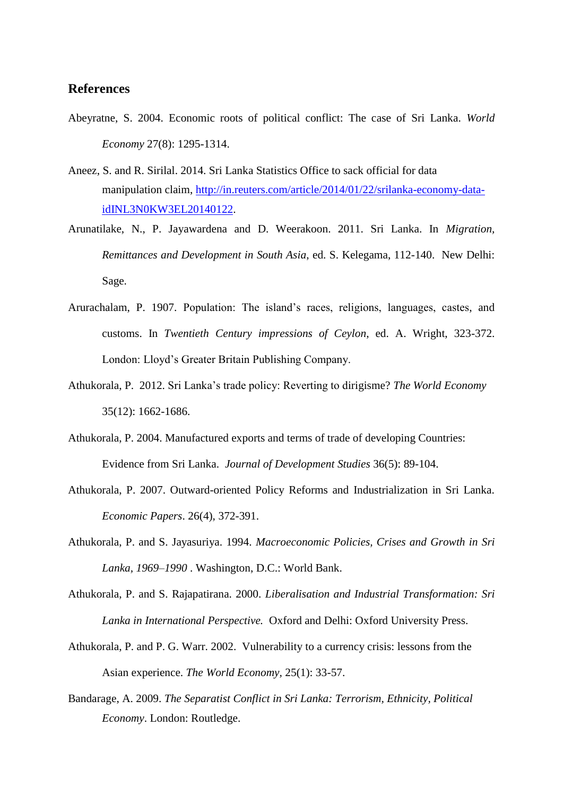## **References**

- Abeyratne, S. 2004. Economic roots of political conflict: The case of Sri Lanka. *World Economy* 27(8): 1295-1314.
- Aneez, S. and R. Sirilal. 2014. Sri Lanka Statistics Office to sack official for data manipulation claim, [http://in.reuters.com/article/2014/01/22/srilanka-economy-data](http://in.reuters.com/article/2014/01/22/srilanka-economy-data-idINL3N0KW3EL20140122)[idINL3N0KW3EL20140122.](http://in.reuters.com/article/2014/01/22/srilanka-economy-data-idINL3N0KW3EL20140122)
- Arunatilake, N., P. Jayawardena and D. Weerakoon. 2011. Sri Lanka. In *Migration, Remittances and Development in South Asia*, ed. S. Kelegama, 112-140. New Delhi: Sage.
- Arurachalam, P. 1907. Population: The island's races, religions, languages, castes, and customs. In *Twentieth Century impressions of Ceylon*, ed. A. Wright, 323-372. London: Lloyd's Greater Britain Publishing Company.
- Athukorala, P. 2012. Sri Lanka's trade policy: Reverting to dirigisme? *The World Economy*  35(12): 1662-1686.
- Athukorala, P. 2004. Manufactured exports and terms of trade of developing Countries: Evidence from Sri Lanka. *Journal of Development Studies* 36(5): 89-104.
- Athukorala, P. 2007. Outward-oriented Policy Reforms and Industrialization in Sri Lanka. *Economic Papers*. 26(4), 372-391.
- Athukorala, P. and S. Jayasuriya. 1994. *Macroeconomic Policies, Crises and Growth in Sri Lanka, 1969*–*1990* . Washington, D.C.: World Bank.
- Athukorala, P. and S. Rajapatirana. 2000. *Liberalisation and Industrial Transformation: Sri Lanka in International Perspective.* Oxford and Delhi: Oxford University Press.
- Athukorala, P. and P. G. Warr. 2002. Vulnerability to a currency crisis: lessons from the Asian experience. *The World Economy,* 25(1): 33-57.
- Bandarage, A. 2009. *The Separatist Conflict in Sri Lanka: Terrorism, Ethnicity, Political Economy*. London: Routledge.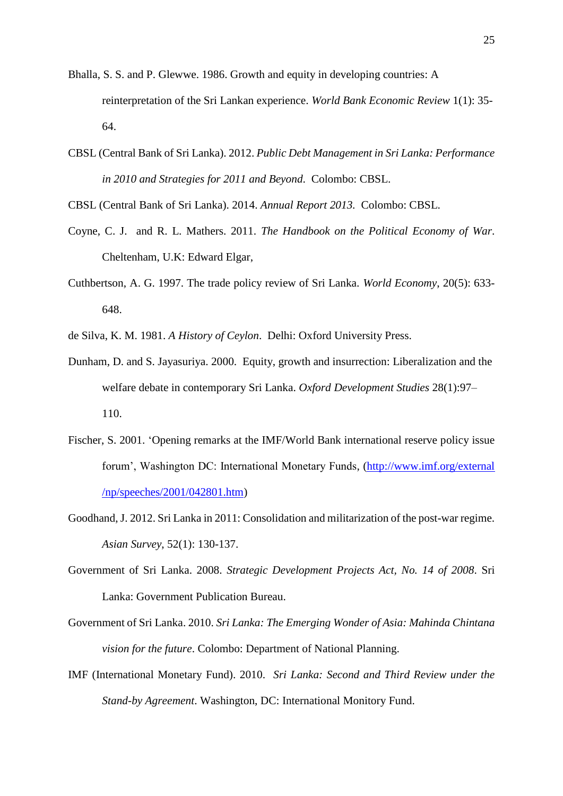- Bhalla, S. S. and P. Glewwe. 1986. Growth and equity in developing countries: A reinterpretation of the Sri Lankan experience. *World Bank Economic Review* 1(1): 35- 64.
- CBSL (Central Bank of Sri Lanka). 2012. *Public Debt Management in Sri Lanka: Performance in 2010 and Strategies for 2011 and Beyond*. Colombo: CBSL.
- CBSL (Central Bank of Sri Lanka). 2014. *Annual Report 2013.* Colombo: CBSL.
- Coyne, C. J. and R. L. Mathers. 2011. *The Handbook on the Political Economy of War*. Cheltenham, U.K: Edward Elgar,
- Cuthbertson, A. G. 1997. The trade policy review of Sri Lanka. *World Economy*, 20(5): 633- 648.
- de Silva, K. M. 1981. *A History of Ceylon*. Delhi: Oxford University Press.
- Dunham, D. and S. Jayasuriya. 2000. Equity, growth and insurrection: Liberalization and the welfare debate in contemporary Sri Lanka. *Oxford Development Studies* 28(1):97– 110.
- Fischer, S. 2001. 'Opening remarks at the IMF/World Bank international reserve policy issue forum', Washington DC: International Monetary Funds, [\(http://www.imf.org/external](http://www.imf.org/external%20/np/speeches/2001/042801.htm)  [/np/speeches/2001/042801.htm\)](http://www.imf.org/external%20/np/speeches/2001/042801.htm)
- Goodhand, J. 2012. Sri Lanka in 2011: Consolidation and militarization of the post-war regime. *Asian Survey*, 52(1): 130-137.
- Government of Sri Lanka. 2008. *Strategic Development Projects Act, No. 14 of 2008*. Sri Lanka: Government Publication Bureau.
- Government of Sri Lanka. 2010. *Sri Lanka: The Emerging Wonder of Asia: Mahinda Chintana vision for the future*. Colombo: Department of National Planning.
- IMF (International Monetary Fund). 2010. *Sri Lanka: Second and Third Review under the Stand-by Agreement*. Washington, DC: International Monitory Fund.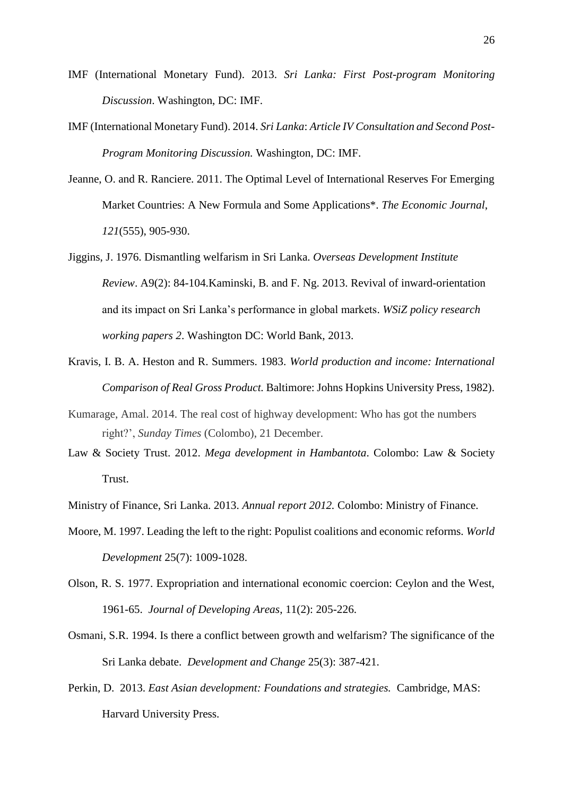- IMF (International Monetary Fund). 2013. *Sri Lanka: First Post-program Monitoring Discussion*. Washington, DC: IMF.
- IMF (International Monetary Fund). 2014. *Sri Lanka*: *Article IV Consultation and Second Post-Program Monitoring Discussion.* Washington, DC: IMF.
- Jeanne, O. and R. Ranciere. 2011. The Optimal Level of International Reserves For Emerging Market Countries: A New Formula and Some Applications\*. *The Economic Journal*, *121*(555), 905-930.
- Jiggins, J. 1976. Dismantling welfarism in Sri Lanka. *Overseas Development Institute Review*. A9(2): 84-104.Kaminski, B. and F. Ng. 2013. Revival of inward-orientation and its impact on Sri Lanka's performance in global markets. *WSiZ policy research working papers 2*. Washington DC: World Bank, 2013.
- Kravis, I. B. A. Heston and R. Summers. 1983. *World production and income: International Comparison of Real Gross Product.* Baltimore: Johns Hopkins University Press, 1982).
- Kumarage, Amal. 2014. The real cost of highway development: Who has got the numbers right?', *Sunday Times* (Colombo), 21 December.
- Law & Society Trust. 2012. *Mega development in Hambantota*. Colombo: Law & Society Trust.
- Ministry of Finance, Sri Lanka. 2013. *Annual report 2012.* Colombo: Ministry of Finance.
- Moore, M. 1997. Leading the left to the right: Populist coalitions and economic reforms. *World Development* 25(7): 1009-1028.
- Olson, R. S. 1977. Expropriation and international economic coercion: Ceylon and the West, 1961-65. *Journal of Developing Areas*, 11(2): 205-226.
- Osmani, S.R. 1994. Is there a conflict between growth and welfarism? The significance of the Sri Lanka debate. *Development and Change* 25(3): 387-421.
- Perkin, D. 2013. *East Asian development: Foundations and strategies.* Cambridge, MAS: Harvard University Press*.*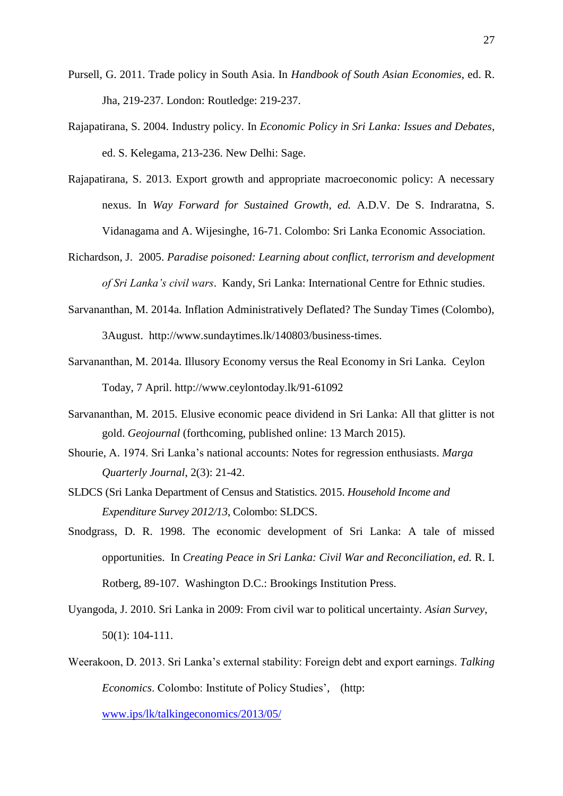- Pursell, G. 2011. Trade policy in South Asia. In *Handbook of South Asian Economies*, ed. R. Jha, 219-237. London: Routledge: 219-237.
- Rajapatirana, S. 2004. Industry policy. In *Economic Policy in Sri Lanka: Issues and Debates*, ed. S. Kelegama, 213-236. New Delhi: Sage.
- Rajapatirana, S. 2013. Export growth and appropriate macroeconomic policy: A necessary nexus. In *Way Forward for Sustained Growth, ed.* A.D.V. De S. Indraratna, S. Vidanagama and A. Wijesinghe, 16-71. Colombo: Sri Lanka Economic Association.
- Richardson, J. 2005. *Paradise poisoned: Learning about conflict, terrorism and development of Sri Lanka's civil wars*. Kandy, Sri Lanka: International Centre for Ethnic studies.
- Sarvananthan, M. 2014a. Inflation Administratively Deflated? The Sunday Times (Colombo), 3August. http://www.sundaytimes.lk/140803/business-times.
- Sarvananthan, M. 2014a. Illusory Economy versus the Real Economy in Sri Lanka. Ceylon Today, 7 April. http://www.ceylontoday.lk/91-61092
- Sarvananthan, M. 2015. Elusive economic peace dividend in Sri Lanka: All that glitter is not gold. *Geojournal* (forthcoming, published online: 13 March 2015).
- Shourie, A. 1974. Sri Lanka's national accounts: Notes for regression enthusiasts. *Marga Quarterly Journal*, 2(3): 21-42.
- SLDCS (Sri Lanka Department of Census and Statistics. 2015. *Household Income and Expenditure Survey 2012/13*, Colombo: SLDCS.
- Snodgrass, D. R. 1998. The economic development of Sri Lanka: A tale of missed opportunities. In *Creating Peace in Sri Lanka: Civil War and Reconciliation, ed.* R. I. Rotberg, 89-107. Washington D.C.: Brookings Institution Press.
- Uyangoda, J. 2010. Sri Lanka in 2009: From civil war to political uncertainty. *Asian Survey*, 50(1): 104-111.
- Weerakoon, D. 2013. Sri Lanka's external stability: Foreign debt and export earnings. *Talking Economics*. Colombo: Institute of Policy Studies', (http: [www.ips/lk/talkingeconomics/2013/05/](http://www.ips/lk/talkingeconomics/2013/05/)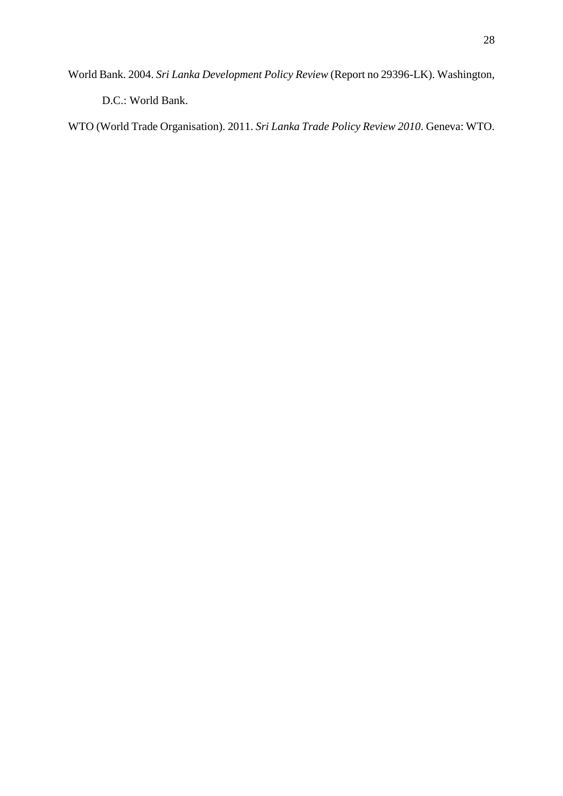World Bank. 2004. *Sri Lanka Development Policy Review* (Report no 29396-LK). Washington,

D.C.: World Bank.

WTO (World Trade Organisation). 2011. *Sri Lanka Trade Policy Review 2010*. Geneva: WTO.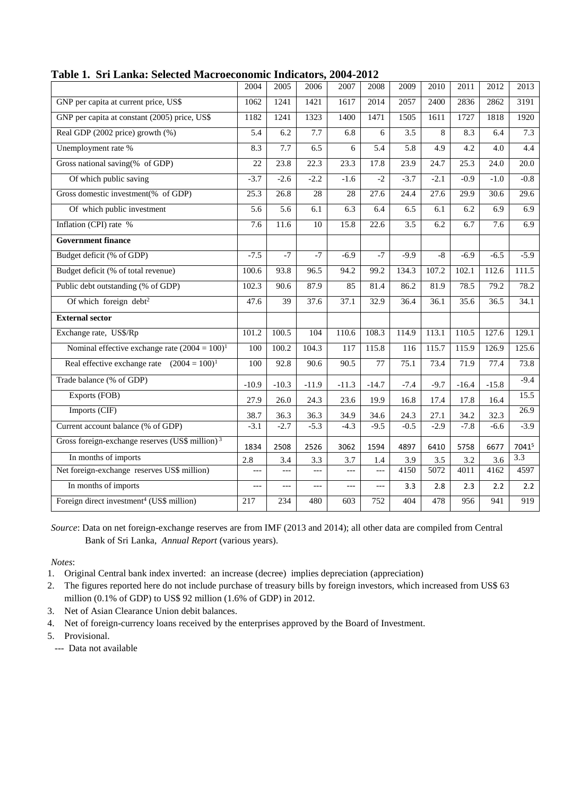|                                                              | 2004            | 2005            | 2006            | 2007            | 2008           | 2009   | 2010   | 2011              | 2012    | 2013              |
|--------------------------------------------------------------|-----------------|-----------------|-----------------|-----------------|----------------|--------|--------|-------------------|---------|-------------------|
| GNP per capita at current price, US\$                        | 1062            | 1241            | 1421            | 1617            | 2014           | 2057   | 2400   | 2836              | 2862    | 3191              |
| GNP per capita at constant (2005) price, US\$                | 1182            | 1241            | 1323            | 1400            | 1471           | 1505   | 1611   | 1727              | 1818    | 1920              |
| Real GDP (2002 price) growth (%)                             | 5.4             | 6.2             | 7.7             | 6.8             | 6              | 3.5    | 8      | 8.3               | 6.4     | 7.3               |
| Unemployment rate %                                          | 8.3             | 7.7             | 6.5             | 6               | 5.4            | 5.8    | 4.9    | 4.2               | 4.0     | 4.4               |
| Gross national saving $%$ of GDP)                            | $\overline{22}$ | 23.8            | 22.3            | 23.3            | 17.8           | 23.9   | 24.7   | 25.3              | 24.0    | $\overline{20.0}$ |
| Of which public saving                                       | $-3.7$          | $-2.6$          | $-2.2$          | $-1.6$          | $-2$           | $-3.7$ | $-2.1$ | $-0.9$            | $-1.0$  | $-0.8$            |
| Gross domestic investment(% of GDP)                          | 25.3            | 26.8            | $\overline{28}$ | $\overline{28}$ | 27.6           | 24.4   | 27.6   | $\overline{29.9}$ | 30.6    | 29.6              |
| Of which public investment                                   | 5.6             | 5.6             | 6.1             | 6.3             | 6.4            | 6.5    | 6.1    | 6.2               | 6.9     | 6.9               |
| Inflation (CPI) rate %                                       | 7.6             | 11.6            | 10              | 15.8            | 22.6           | 3.5    | 6.2    | 6.7               | 7.6     | 6.9               |
| <b>Government finance</b>                                    |                 |                 |                 |                 |                |        |        |                   |         |                   |
| Budget deficit (% of GDP)                                    | $-7.5$          | $-7$            | $-7$            | $-6.9$          | $-7$           | $-9.9$ | $-8$   | $-6.9$            | $-6.5$  | $-5.9$            |
| Budget deficit (% of total revenue)                          | 100.6           | 93.8            | 96.5            | 94.2            | 99.2           | 134.3  | 107.2  | 102.1             | 112.6   | 111.5             |
| Public debt outstanding (% of GDP)                           | 102.3           | 90.6            | 87.9            | 85              | 81.4           | 86.2   | 81.9   | 78.5              | 79.2    | 78.2              |
| Of which foreign $debt^2$                                    | 47.6            | $\overline{39}$ | 37.6            | 37.1            | 32.9           | 36.4   | 36.1   | 35.6              | 36.5    | 34.1              |
| <b>External sector</b>                                       |                 |                 |                 |                 |                |        |        |                   |         |                   |
| Exchange rate, US\$/Rp                                       | 101.2           | 100.5           | 104             | 110.6           | 108.3          | 114.9  | 113.1  | 110.5             | 127.6   | 129.1             |
| Nominal effective exchange rate $(2004 = 100)^1$             | 100             | 100.2           | 104.3           | 117             | 115.8          | 116    | 115.7  | 115.9             | 126.9   | 125.6             |
| Real effective exchange rate $(2004 = 100)^1$                | 100             | 92.8            | 90.6            | 90.5            | 77             | 75.1   | 73.4   | 71.9              | 77.4    | 73.8              |
| Trade balance (% of GDP)                                     | $-10.9$         | $-10.3$         | $-11.9$         | $-11.3$         | $-14.7$        | $-7.4$ | $-9.7$ | $-16.4$           | $-15.8$ | $-9.4$            |
| Exports (FOB)                                                | 27.9            | 26.0            | 24.3            | 23.6            | 19.9           | 16.8   | 17.4   | 17.8              | 16.4    | 15.5              |
| Imports (CIF)                                                | 38.7            | 36.3            | 36.3            | 34.9            | 34.6           | 24.3   | 27.1   | 34.2              | 32.3    | $\overline{26.9}$ |
| Current account balance (% of GDP)                           | $-3.1$          | $-2.7$          | $-5.3$          | $-4.3$          | $-9.5$         | $-0.5$ | $-2.9$ | $-7.8$            | $-6.6$  | $-3.9$            |
| Gross foreign-exchange reserves $(US\$ million) <sup>3</sup> | 1834            | 2508            | 2526            | 3062            | 1594           | 4897   | 6410   | 5758              | 6677    | 70415             |
| In months of imports                                         | 2.8             | 3.4             | 3.3             | 3.7             | 1.4            | 3.9    | 3.5    | 3.2               | 3.6     | 3.3               |
| Net foreign-exchange reserves US\$ million)                  |                 | $---$           | $\overline{a}$  | $\overline{a}$  | $---$          | 4150   | 5072   | 4011              | 4162    | 4597              |
| In months of imports                                         | $---$           | $---$           | $---$           | $---$           | $\overline{a}$ | 3.3    | 2.8    | 2.3               | 2.2     | 2.2               |
| Foreign direct investment <sup>4</sup> (US\$ million)        | 217             | 234             | 480             | 603             | 752            | 404    | 478    | 956               | 941     | $\overline{919}$  |

**Table 1. Sri Lanka: Selected Macroeconomic Indicators, 2004-2012**

*Source*: Data on net foreign-exchange reserves are from IMF (2013 and 2014); all other data are compiled from Central Bank of Sri Lanka, *Annual Report* (various years).

*Notes*:

1. Original Central bank index inverted: an increase (decree) implies depreciation (appreciation)

2. The figures reported here do not include purchase of treasury bills by foreign investors, which increased from US\$ 63 million (0.1% of GDP) to US\$ 92 million (1.6% of GDP) in 2012.

- 3. Net of Asian Clearance Union debit balances.
- 4. Net of foreign-currency loans received by the enterprises approved by the Board of Investment.
- 5. Provisional.
	- --- Data not available